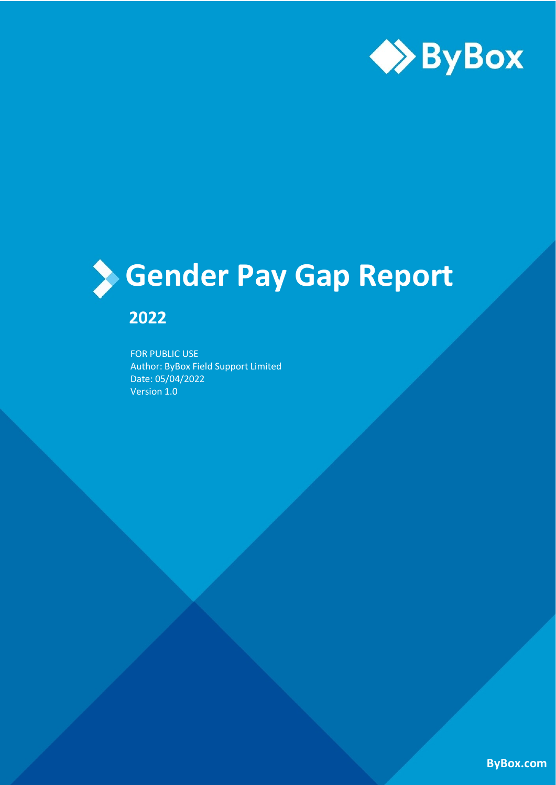

# **Gender Pay Gap Report**

# **2022**

FOR PUBLIC USE Author: ByBox Field Support Limited Date: 05/04/2022 Version 1.0

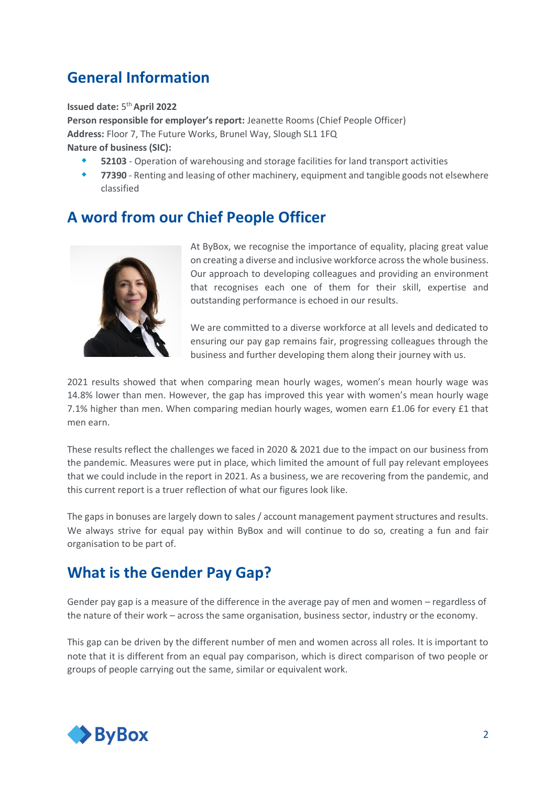### **General Information**

**Issued date:** 5 th **April 2022**

**Person responsible for employer's report:** Jeanette Rooms (Chief People Officer) **Address:** Floor 7, The Future Works, Brunel Way, Slough SL1 1FQ **Nature of business (SIC):**

- **52103** Operation of warehousing and storage facilities for land transport activities
- **77390** Renting and leasing of other machinery, equipment and tangible goods not elsewhere classified

#### **A word from our Chief People Officer**



At ByBox, we recognise the importance of equality, placing great value on creating a diverse and inclusive workforce across the whole business. Our approach to developing colleagues and providing an environment that recognises each one of them for their skill, expertise and outstanding performance is echoed in our results.

We are committed to a diverse workforce at all levels and dedicated to ensuring our pay gap remains fair, progressing colleagues through the business and further developing them along their journey with us.

2021 results showed that when comparing mean hourly wages, women's mean hourly wage was 14.8% lower than men. However, the gap has improved this year with women's mean hourly wage 7.1% higher than men. When comparing median hourly wages, women earn £1.06 for every £1 that men earn.

These results reflect the challenges we faced in 2020 & 2021 due to the impact on our business from the pandemic. Measures were put in place, which limited the amount of full pay relevant employees that we could include in the report in 2021. As a business, we are recovering from the pandemic, and this current report is a truer reflection of what our figures look like.

The gaps in bonuses are largely down to sales / account management payment structures and results. We always strive for equal pay within ByBox and will continue to do so, creating a fun and fair organisation to be part of.

#### **What is the Gender Pay Gap?**

Gender pay gap is a measure of the difference in the average pay of men and women – regardless of the nature of their work – across the same organisation, business sector, industry or the economy.

This gap can be driven by the different number of men and women across all roles. It is important to note that it is different from an equal pay comparison, which is direct comparison of two people or groups of people carrying out the same, similar or equivalent work.

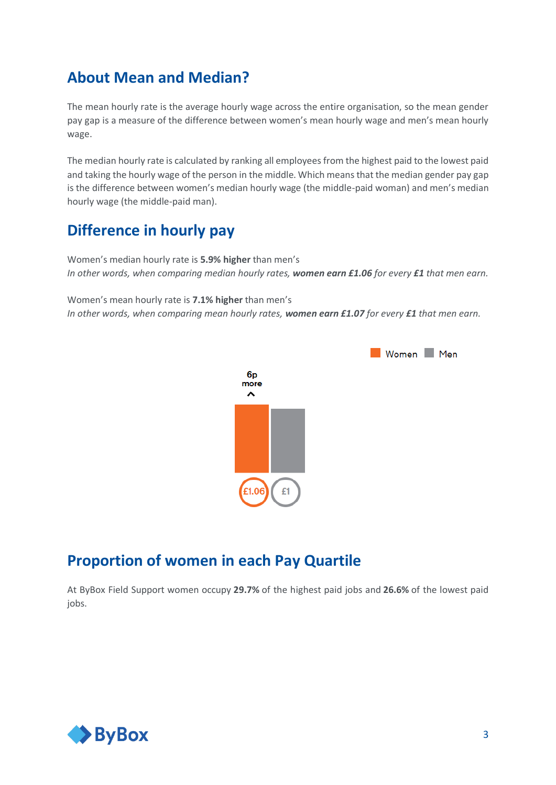#### **About Mean and Median?**

The mean hourly rate is the average hourly wage across the entire organisation, so the mean gender pay gap is a measure of the difference between women's mean hourly wage and men's mean hourly wage.

The median hourly rate is calculated by ranking all employees from the highest paid to the lowest paid and taking the hourly wage of the person in the middle. Which means that the median gender pay gap is the difference between women's median hourly wage (the middle-paid woman) and men's median hourly wage (the middle-paid man).

### **Difference in hourly pay**

Women's median hourly rate is **5.9% higher** than men's *In other words, when comparing median hourly rates, women earn £1.06 for every £1 that men earn.*

Women's mean hourly rate is **7.1% higher** than men's *In other words, when comparing mean hourly rates, women earn £1.07 for every £1 that men earn.*



#### **Proportion of women in each Pay Quartile**

At ByBox Field Support women occupy **29.7%** of the highest paid jobs and **26.6%** of the lowest paid jobs.

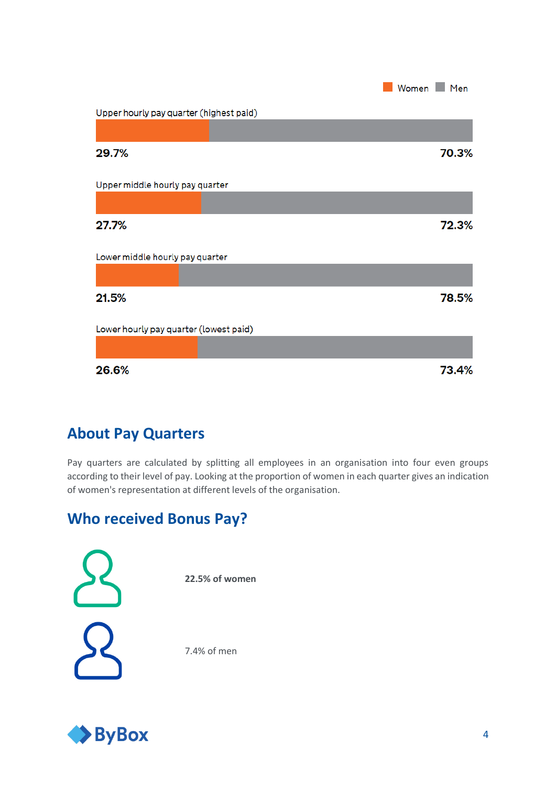

# **About Pay Quarters**

Pay quarters are calculated by splitting all employees in an organisation into four even groups according to their level of pay. Looking at the proportion of women in each quarter gives an indication of women's representation at different levels of the organisation.

# **Who received Bonus Pay?**

**22.5% of women**  7.4% of men